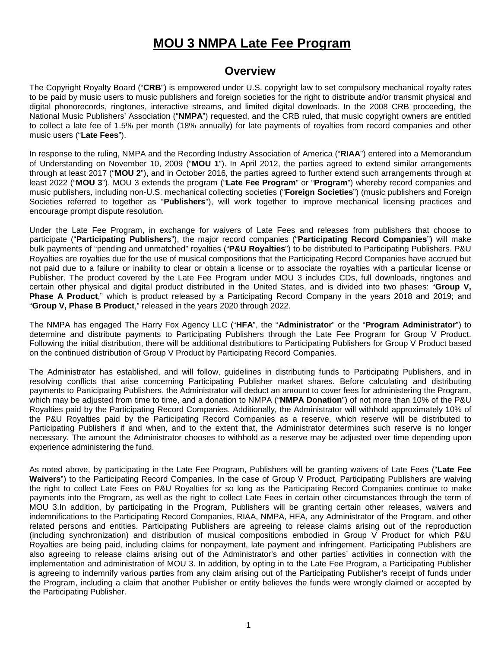# **MOU 3 NMPA Late Fee Program**

#### **Overview**

The Copyright Royalty Board ("**CRB**") is empowered under U.S. copyright law to set compulsory mechanical royalty rates to be paid by music users to music publishers and foreign societies for the right to distribute and/or transmit physical and digital phonorecords, ringtones, interactive streams, and limited digital downloads. In the 2008 CRB proceeding, the National Music Publishers' Association ("**NMPA**") requested, and the CRB ruled, that music copyright owners are entitled to collect a late fee of 1.5% per month (18% annually) for late payments of royalties from record companies and other music users ("**Late Fees**").

In response to the ruling, NMPA and the Recording Industry Association of America ("**RIAA**") entered into a Memorandum of Understanding on November 10, 2009 ("**MOU 1**"). In April 2012, the parties agreed to extend similar arrangements through at least 2017 ("**MOU 2**"), and in October 2016, the parties agreed to further extend such arrangements through at least 2022 ("**MOU 3**"). MOU 3 extends the program ("**Late Fee Program**" or "**Program**") whereby record companies and music publishers, including non-U.S. mechanical collecting societies ("**Foreign Societies**") (music publishers and Foreign Societies referred to together as "**Publishers**"), will work together to improve mechanical licensing practices and encourage prompt dispute resolution.

Under the Late Fee Program, in exchange for waivers of Late Fees and releases from publishers that choose to participate ("**Participating Publishers**"), the major record companies ("**Participating Record Companies**") will make bulk payments of "pending and unmatched" royalties ("**P&U Royalties**") to be distributed to Participating Publishers. P&U Royalties are royalties due for the use of musical compositions that the Participating Record Companies have accrued but not paid due to a failure or inability to clear or obtain a license or to associate the royalties with a particular license or Publisher. The product covered by the Late Fee Program under MOU 3 includes CDs, full downloads, ringtones and certain other physical and digital product distributed in the United States, and is divided into two phases: "**Group V, Phase A Product**," which is product released by a Participating Record Company in the years 2018 and 2019; and "**Group V, Phase B Product**," released in the years 2020 through 2022.

The NMPA has engaged The Harry Fox Agency LLC ("**HFA**", the "**Administrator**" or the "**Program Administrator**") to determine and distribute payments to Participating Publishers through the Late Fee Program for Group V Product. Following the initial distribution, there will be additional distributions to Participating Publishers for Group V Product based on the continued distribution of Group V Product by Participating Record Companies.

The Administrator has established, and will follow, guidelines in distributing funds to Participating Publishers, and in resolving conflicts that arise concerning Participating Publisher market shares. Before calculating and distributing payments to Participating Publishers, the Administrator will deduct an amount to cover fees for administering the Program, which may be adjusted from time to time, and a donation to NMPA ("**NMPA Donation**") of not more than 10% of the P&U Royalties paid by the Participating Record Companies. Additionally, the Administrator will withhold approximately 10% of the P&U Royalties paid by the Participating Record Companies as a reserve, which reserve will be distributed to Participating Publishers if and when, and to the extent that, the Administrator determines such reserve is no longer necessary. The amount the Administrator chooses to withhold as a reserve may be adjusted over time depending upon experience administering the fund.

As noted above, by participating in the Late Fee Program, Publishers will be granting waivers of Late Fees ("**Late Fee Waivers**") to the Participating Record Companies. In the case of Group V Product, Participating Publishers are waiving the right to collect Late Fees on P&U Royalties for so long as the Participating Record Companies continue to make payments into the Program, as well as the right to collect Late Fees in certain other circumstances through the term of MOU 3.In addition, by participating in the Program, Publishers will be granting certain other releases, waivers and indemnifications to the Participating Record Companies, RIAA, NMPA, HFA, any Administrator of the Program, and other related persons and entities. Participating Publishers are agreeing to release claims arising out of the reproduction (including synchronization) and distribution of musical compositions embodied in Group V Product for which P&U Royalties are being paid, including claims for nonpayment, late payment and infringement. Participating Publishers are also agreeing to release claims arising out of the Administrator's and other parties' activities in connection with the implementation and administration of MOU 3. In addition, by opting in to the Late Fee Program, a Participating Publisher is agreeing to indemnify various parties from any claim arising out of the Participating Publisher's receipt of funds under the Program, including a claim that another Publisher or entity believes the funds were wrongly claimed or accepted by the Participating Publisher.